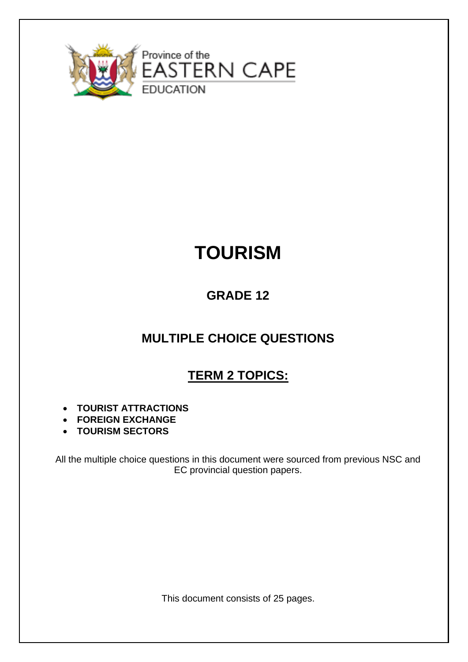

# **TOURISM**

# **GRADE 12**

# **MULTIPLE CHOICE QUESTIONS**

# **TERM 2 TOPICS:**

- **TOURIST ATTRACTIONS**
- **FOREIGN EXCHANGE**
- **TOURISM SECTORS**

All the multiple choice questions in this document were sourced from previous NSC and EC provincial question papers.

This document consists of 25 pages.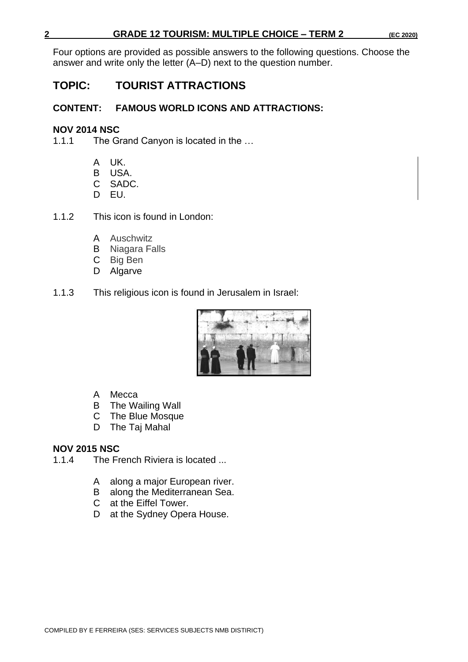Four options are provided as possible answers to the following questions. Choose the answer and write only the letter (A–D) next to the question number.

# **TOPIC: TOURIST ATTRACTIONS**

# **CONTENT: FAMOUS WORLD ICONS AND ATTRACTIONS:**

## **NOV 2014 NSC**

1.1.1 The Grand Canyon is located in the …

- A UK.
- B USA.
- C SADC.
- D EU.
- 1.1.2 This icon is found in London:
	- A Auschwitz
	- B Niagara Falls
	- C Big Ben
	- D Algarve
- 1.1.3 This religious icon is found in Jerusalem in Israel:



- A Mecca
- B The Wailing Wall
- C The Blue Mosque
- D The Taj Mahal

# **NOV 2015 NSC**

- 1.1.4 The French Riviera is located ...
	- A along a major European river.
	- B along the Mediterranean Sea.
	- C at the Eiffel Tower.
	- D at the Sydney Opera House.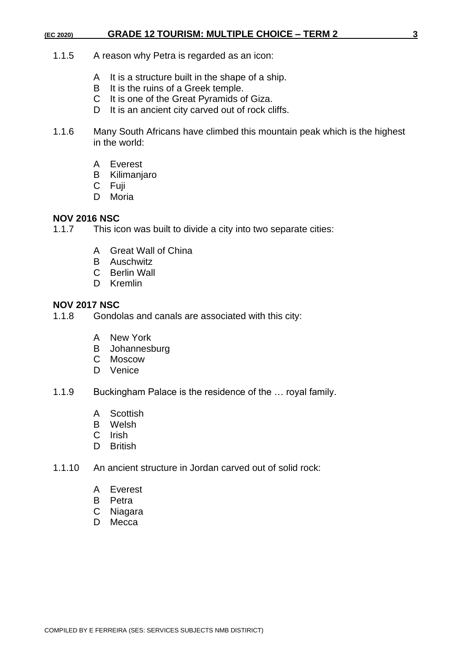- 1.1.5 A reason why Petra is regarded as an icon:
	- A It is a structure built in the shape of a ship.
	- B It is the ruins of a Greek temple.
	- C It is one of the Great Pyramids of Giza.
	- D It is an ancient city carved out of rock cliffs.
- 1.1.6 Many South Africans have climbed this mountain peak which is the highest in the world:
	- A Everest
	- B Kilimanjaro
	- C Fuji
	- D Moria

#### **NOV 2016 NSC**

1.1.7 This icon was built to divide a city into two separate cities:

- A Great Wall of China
- B Auschwitz
- C Berlin Wall
- D Kremlin

#### **NOV 2017 NSC**

- 1.1.8 Gondolas and canals are associated with this city:
	- A New York
	- B Johannesburg
	- C Moscow
	- D Venice
- 1.1.9 Buckingham Palace is the residence of the … royal family.
	- A Scottish
	- B Welsh
	- C Irish
	- D British
- 1.1.10 An ancient structure in Jordan carved out of solid rock:
	- A Everest
	- B Petra
	- C Niagara
	- D Mecca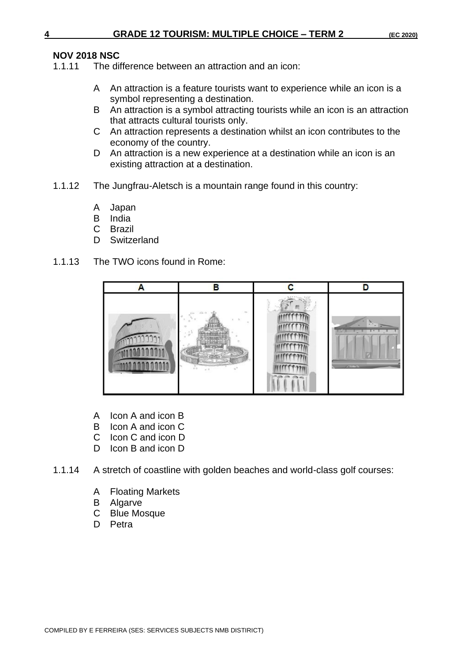# **NOV 2018 NSC**

- The difference between an attraction and an icon:
	- A An attraction is a feature tourists want to experience while an icon is a symbol representing a destination.
	- B An attraction is a symbol attracting tourists while an icon is an attraction that attracts cultural tourists only.
	- C An attraction represents a destination whilst an icon contributes to the economy of the country.
	- D An attraction is a new experience at a destination while an icon is an existing attraction at a destination.
- 1.1.12 The Jungfrau-Aletsch is a mountain range found in this country:
	- A Japan
	- B India
	- C Brazil
	- D Switzerland
- 1.1.13 The TWO icons found in Rome:



- A Icon A and icon B
- B Icon A and icon C
- C Icon C and icon D
- D Icon B and icon D
- 1.1.14 A stretch of coastline with golden beaches and world-class golf courses:
	- A Floating Markets
	- B Algarve
	- C Blue Mosque
	- D Petra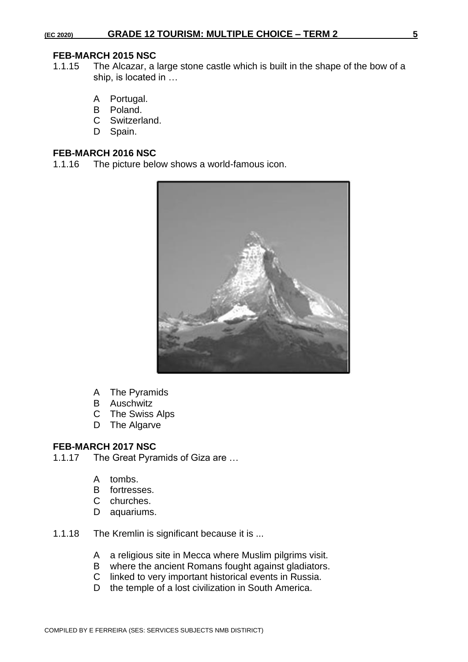#### **FEB-MARCH 2015 NSC**

- 1.1.15 The Alcazar, a large stone castle which is built in the shape of the bow of a ship, is located in …
	- A Portugal.
	- B Poland.
	- C Switzerland.
	- D Spain.

#### **FEB-MARCH 2016 NSC**

1.1.16 The picture below shows a world-famous icon.



- A The Pyramids
- B Auschwitz
- C The Swiss Alps
- D The Algarve

#### **FEB-MARCH 2017 NSC**

- 1.1.17 The Great Pyramids of Giza are …
	- A tombs.
	- B fortresses.
	- C churches.
	- D aquariums.
- 1.1.18 The Kremlin is significant because it is ...
	- A a religious site in Mecca where Muslim pilgrims visit.
	- B where the ancient Romans fought against gladiators.
	- C linked to very important historical events in Russia.
	- D the temple of a lost civilization in South America.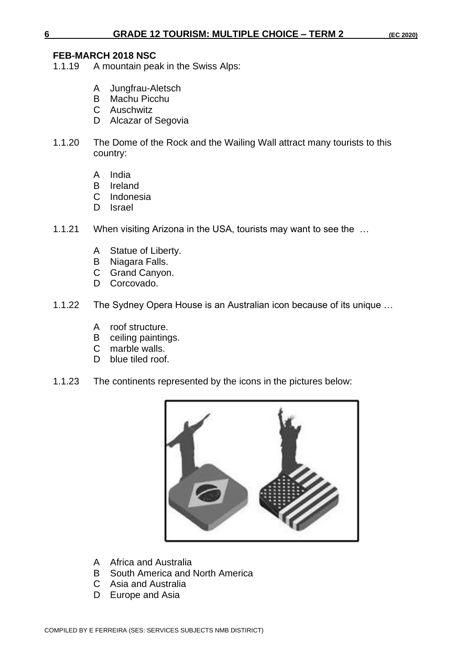#### **FEB-MARCH 2018 NSC**

- 1.1.19 A mountain peak in the Swiss Alps:
	- A Jungfrau-Aletsch
	- B Machu Picchu
	- C Auschwitz
	- D Alcazar of Segovia
- 1.1.20 The Dome of the Rock and the Wailing Wall attract many tourists to this country:
	- A India
	- B Ireland
	- C Indonesia
	- D Israel
- 1.1.21 When visiting Arizona in the USA, tourists may want to see the …
	- A Statue of Liberty.
	- B Niagara Falls.
	- C Grand Canyon.
	- D Corcovado.
- 1.1.22 The Sydney Opera House is an Australian icon because of its unique …
	- A roof structure.
	- B ceiling paintings.
	- C marble walls.
	- D blue tiled roof.
- 1.1.23 The continents represented by the icons in the pictures below:



- A Africa and Australia
- B South America and North America
- C Asia and Australia
- D Europe and Asia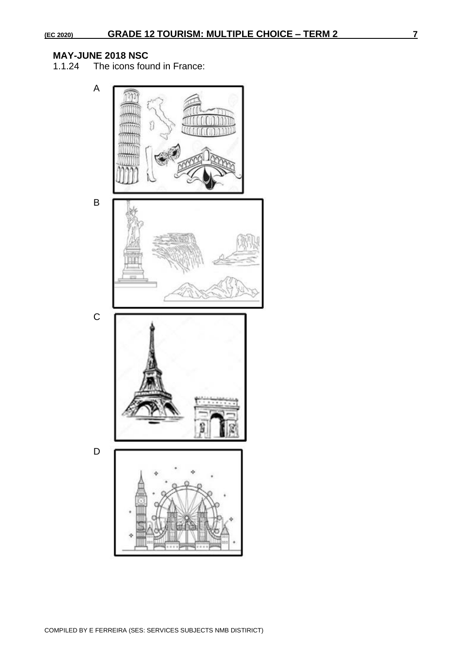# **MAY-JUNE 2018 NSC**

The icons found in France:

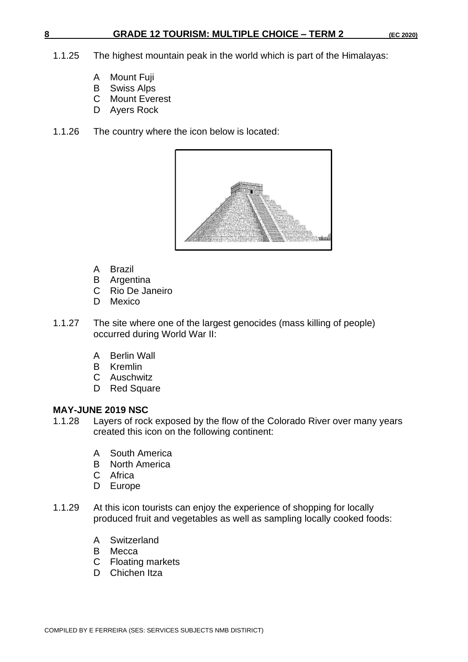- 1.1.25 The highest mountain peak in the world which is part of the Himalayas:
	- A Mount Fuji
	- B Swiss Alps
	- C Mount Everest
	- D Ayers Rock
- 1.1.26 The country where the icon below is located:



- A Brazil
- B Argentina
- C Rio De Janeiro
- D Mexico
- 1.1.27 The site where one of the largest genocides (mass killing of people) occurred during World War II:
	- A Berlin Wall
	- B Kremlin
	- C Auschwitz
	- D Red Square

#### **MAY-JUNE 2019 NSC**

- 1.1.28 Layers of rock exposed by the flow of the Colorado River over many years created this icon on the following continent:
	- A South America
	- B North America
	- C Africa
	- D Europe
- 1.1.29 At this icon tourists can enjoy the experience of shopping for locally produced fruit and vegetables as well as sampling locally cooked foods:
	- A Switzerland
	- B Mecca
	- C Floating markets
	- D Chichen Itza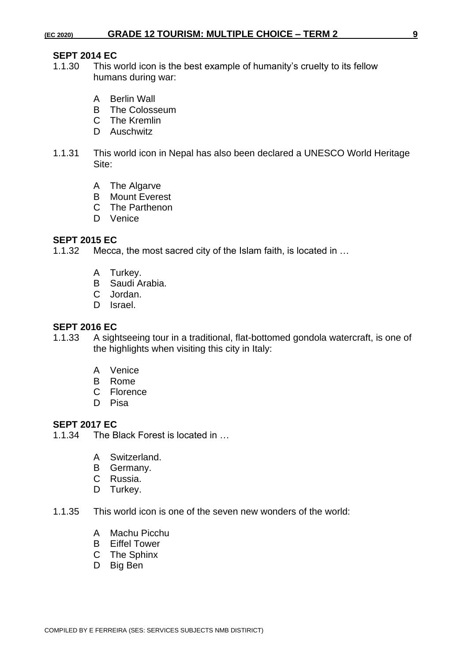# **SEPT 2014 EC**<br>1.1.30 This w

- This world icon is the best example of humanity's cruelty to its fellow humans during war:
	- A Berlin Wall
	- B The Colosseum
	- C The Kremlin
	- D Auschwitz
- 1.1.31 This world icon in Nepal has also been declared a UNESCO World Heritage Site:
	- A The Algarve
	- B Mount Everest
	- C The Parthenon
	- D Venice

#### **SEPT 2015 EC**

1.1.32 Mecca, the most sacred city of the Islam faith, is located in …

- A Turkey.
- B Saudi Arabia.
- C Jordan.
- D Israel.

#### **SEPT 2016 EC**

- 1.1.33 A sightseeing tour in a traditional, flat-bottomed gondola watercraft, is one of the highlights when visiting this city in Italy:
	- A Venice
	- B Rome
	- C Florence
	- D Pisa

#### **SEPT 2017 EC**

- 1.1.34 The Black Forest is located in …
	- A Switzerland.
	- B Germany.
	- C Russia.
	- D Turkey.
- 1.1.35 This world icon is one of the seven new wonders of the world:
	- A Machu Picchu
	- B Eiffel Tower
	- C The Sphinx
	- D Big Ben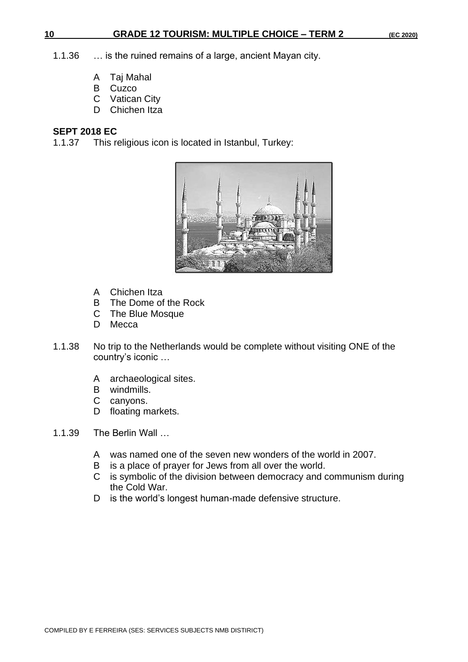#### **10 GRADE 12 TOURISM: MULTIPLE CHOICE – TERM 2 (EC 2020)**

- 1.1.36 … is the ruined remains of a large, ancient Mayan city.
	- A Taj Mahal
	- B Cuzco
	- C Vatican City
	- D Chichen Itza

#### **SEPT 2018 EC**

1.1.37 This religious icon is located in Istanbul, Turkey:



- A Chichen Itza
- B The Dome of the Rock
- C The Blue Mosque
- D Mecca
- 1.1.38 No trip to the Netherlands would be complete without visiting ONE of the country's iconic …
	- A archaeological sites.
	- B windmills.
	- C canyons.
	- D floating markets.
- 1.1.39 The Berlin Wall …
	- A was named one of the seven new wonders of the world in 2007.
	- B is a place of prayer for Jews from all over the world.
	- C is symbolic of the division between democracy and communism during the Cold War.
	- D is the world's longest human-made defensive structure.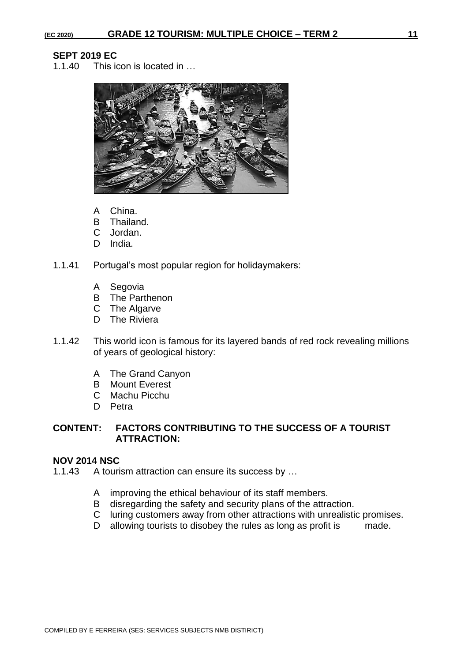# **SEPT 2019 EC**<br>1.1.40 This in

This icon is located in ...



- A China.
- B Thailand.
- C Jordan.
- D India.
- 1.1.41 Portugal's most popular region for holidaymakers:
	- A Segovia
	- B The Parthenon
	- C The Algarve
	- D The Riviera
- 1.1.42 This world icon is famous for its layered bands of red rock revealing millions of years of geological history:
	- A The Grand Canyon
	- B Mount Everest
	- C Machu Picchu
	- D Petra

#### **CONTENT: FACTORS CONTRIBUTING TO THE SUCCESS OF A TOURIST ATTRACTION:**

#### **NOV 2014 NSC**

1.1.43 A tourism attraction can ensure its success by …

- A improving the ethical behaviour of its staff members.
- B disregarding the safety and security plans of the attraction.
- C luring customers away from other attractions with unrealistic promises.
- D allowing tourists to disobey the rules as long as profit is made.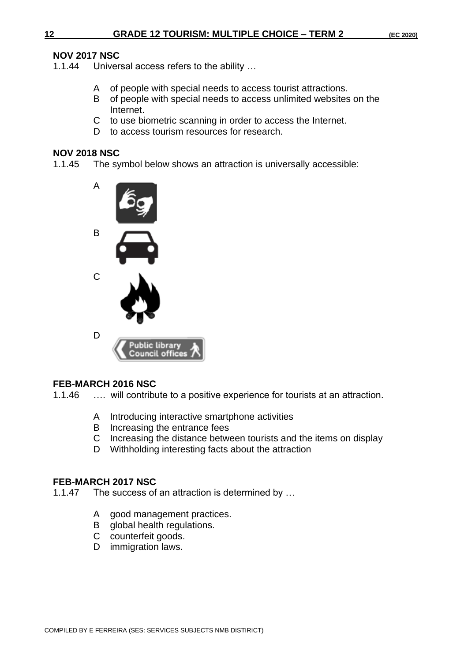### **NOV 2017 NSC**

1.1.44 Universal access refers to the ability …

- A of people with special needs to access tourist attractions.
- B of people with special needs to access unlimited websites on the Internet.
- C to use biometric scanning in order to access the Internet.
- D to access tourism resources for research.

#### **NOV 2018 NSC**

1.1.45 The symbol below shows an attraction is universally accessible:



# **FEB-MARCH 2016 NSC**

1.1.46 …. will contribute to a positive experience for tourists at an attraction.

- A Introducing interactive smartphone activities
- B Increasing the entrance fees
- C Increasing the distance between tourists and the items on display
- D Withholding interesting facts about the attraction

#### **FEB-MARCH 2017 NSC**

- 1.1.47 The success of an attraction is determined by …
	- A good management practices.
	- B global health regulations.
	- C counterfeit goods.
	- D immigration laws.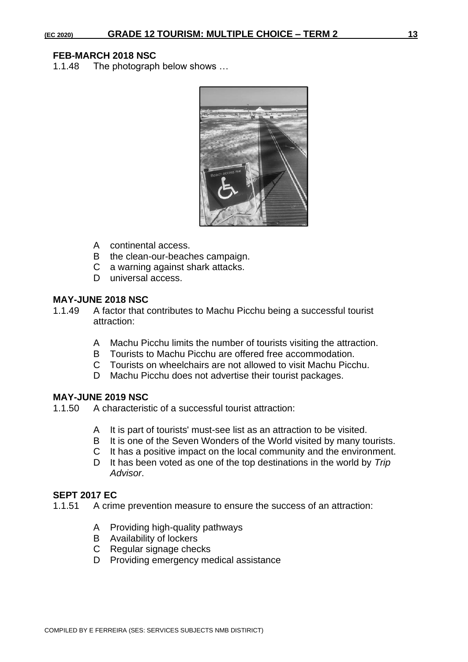#### **FEB-MARCH 2018 NSC**

1.1.48 The photograph below shows …



- A continental access.
- B the clean-our-beaches campaign.
- C a warning against shark attacks.
- D universal access.

#### **MAY-JUNE 2018 NSC**

- 1.1.49 A factor that contributes to Machu Picchu being a successful tourist attraction:
	- A Machu Picchu limits the number of tourists visiting the attraction.
	- B Tourists to Machu Picchu are offered free accommodation.
	- C Tourists on wheelchairs are not allowed to visit Machu Picchu.
	- D Machu Picchu does not advertise their tourist packages.

#### **MAY-JUNE 2019 NSC**

1.1.50 A characteristic of a successful tourist attraction:

- A It is part of tourists' must-see list as an attraction to be visited.
- B It is one of the Seven Wonders of the World visited by many tourists.
- C It has a positive impact on the local community and the environment.
- D It has been voted as one of the top destinations in the world by *Trip Advisor*.

#### **SEPT 2017 EC**

- 1.1.51 A crime prevention measure to ensure the success of an attraction:
	- A Providing high-quality pathways
	- B Availability of lockers
	- C Regular signage checks
	- D Providing emergency medical assistance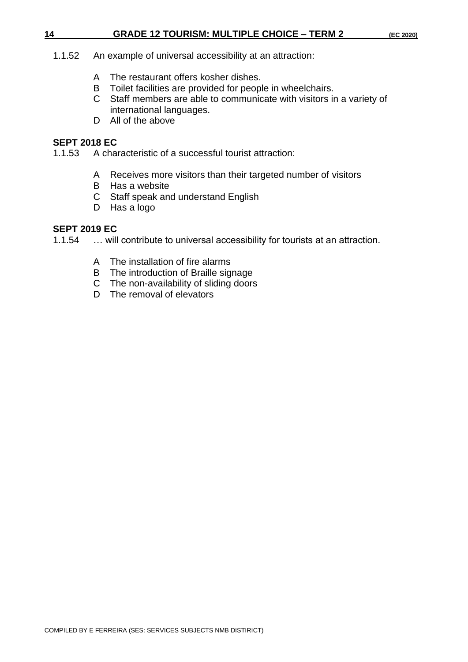#### **14 GRADE 12 TOURISM: MULTIPLE CHOICE – TERM 2 (EC 2020)**

- 1.1.52 An example of universal accessibility at an attraction:
	- A The restaurant offers kosher dishes.
	- B Toilet facilities are provided for people in wheelchairs.
	- C Staff members are able to communicate with visitors in a variety of international languages.
	- D All of the above

#### **SEPT 2018 EC**

- 1.1.53 A characteristic of a successful tourist attraction:
	- A Receives more visitors than their targeted number of visitors
	- B Has a website
	- C Staff speak and understand English
	- D Has a logo

#### **SEPT 2019 EC**

1.1.54 … will contribute to universal accessibility for tourists at an attraction.

- A The installation of fire alarms
- B The introduction of Braille signage
- C The non-availability of sliding doors
- D The removal of elevators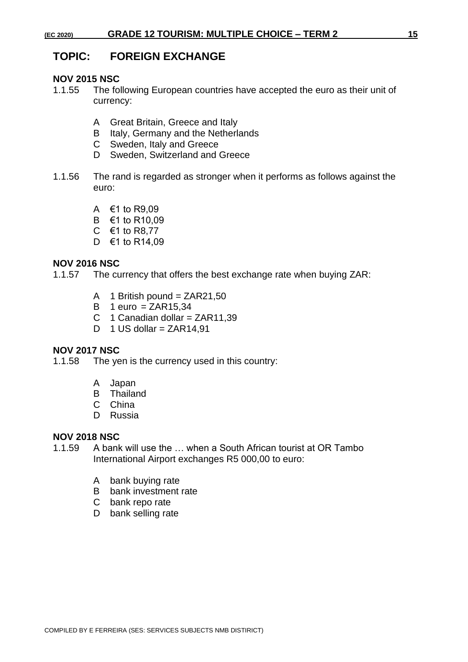# **TOPIC: FOREIGN EXCHANGE**

#### **NOV 2015 NSC**

- 1.1.55 The following European countries have accepted the euro as their unit of currency:
	- A Great Britain, Greece and Italy
	- B Italy, Germany and the Netherlands
	- C Sweden, Italy and Greece
	- D Sweden, Switzerland and Greece
- 1.1.56 The rand is regarded as stronger when it performs as follows against the euro:
	- A  $€1$  to R9,09
	- B €1 to R10,09
	- C €1 to R8,77
	- D €1 to R14,09

#### **NOV 2016 NSC**

1.1.57 The currency that offers the best exchange rate when buying ZAR:

- A 1 British pound =  $ZAR21,50$
- $B$  1 euro = ZAR15.34
- C 1 Canadian dollar =  $ZAR11,39$
- D 1 US dollar =  $ZAR14,91$

#### **NOV 2017 NSC**

1.1.58 The yen is the currency used in this country:

- A Japan
- B Thailand
- C China
- D Russia

#### **NOV 2018 NSC**

- 1.1.59 A bank will use the … when a South African tourist at OR Tambo International Airport exchanges R5 000,00 to euro:
	- A bank buying rate
	- B bank investment rate
	- C bank repo rate
	- D bank selling rate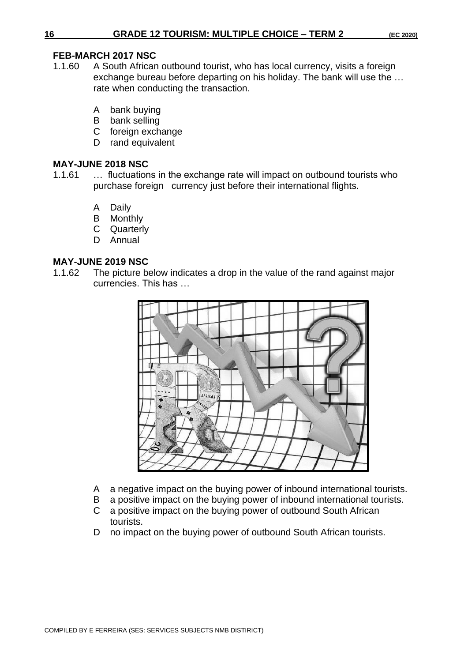## **FEB-MARCH 2017 NSC**

- 1.1.60 A South African outbound tourist, who has local currency, visits a foreign exchange bureau before departing on his holiday. The bank will use the … rate when conducting the transaction.
	- A bank buying
	- B bank selling
	- C foreign exchange
	- D rand equivalent

### **MAY-JUNE 2018 NSC**

- 1.1.61 … fluctuations in the exchange rate will impact on outbound tourists who purchase foreign currency just before their international flights.
	- A Daily
	- B Monthly
	- C Quarterly
	- D Annual

# **MAY-JUNE 2019 NSC**

1.1.62 The picture below indicates a drop in the value of the rand against major currencies. This has …



- A a negative impact on the buying power of inbound international tourists.
- B a positive impact on the buying power of inbound international tourists.
- C a positive impact on the buying power of outbound South African tourists.
- D no impact on the buying power of outbound South African tourists.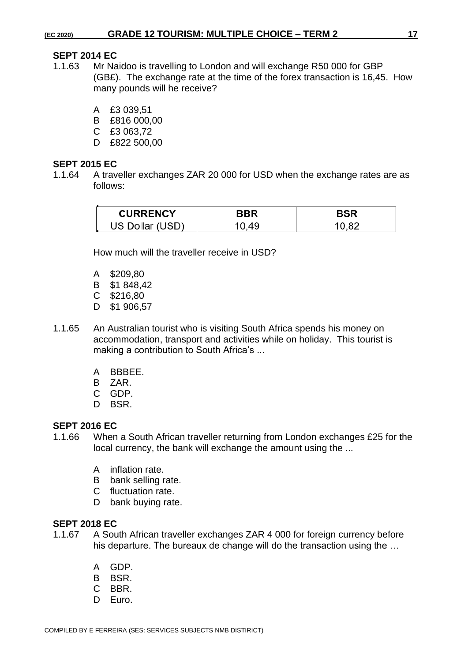#### **SEPT 2014 EC**

- 1.1.63 Mr Naidoo is travelling to London and will exchange R50 000 for GBP (GB£). The exchange rate at the time of the forex transaction is 16,45. How many pounds will he receive?
	- A £3 039,51
	- B £816 000,00
	- C £3 063,72
	- D £822 500,00

#### **SEPT 2015 EC**

1.1.64 A traveller exchanges ZAR 20 000 for USD when the exchange rates are as follows:

| <b>CURRENCY</b> | חמו |
|-----------------|-----|
| US 1            |     |

How much will the traveller receive in USD?

- A \$209,80
- B \$1 848,42
- C \$216,80
- D \$1 906,57
- 1.1.65 An Australian tourist who is visiting South Africa spends his money on accommodation, transport and activities while on holiday. This tourist is making a contribution to South Africa's ...
	- A BBBEE.
	- B ZAR.
	- C GDP.
	- D BSR.

# **SEPT 2016 EC**

- 1.1.66 When a South African traveller returning from London exchanges £25 for the local currency, the bank will exchange the amount using the ...
	- A inflation rate.
	- B bank selling rate.
	- C fluctuation rate.
	- D bank buying rate.

#### **SEPT 2018 EC**

- 1.1.67 A South African traveller exchanges ZAR 4 000 for foreign currency before his departure. The bureaux de change will do the transaction using the …
	- A GDP.
	- B BSR.
	- C BBR.
	- D Euro.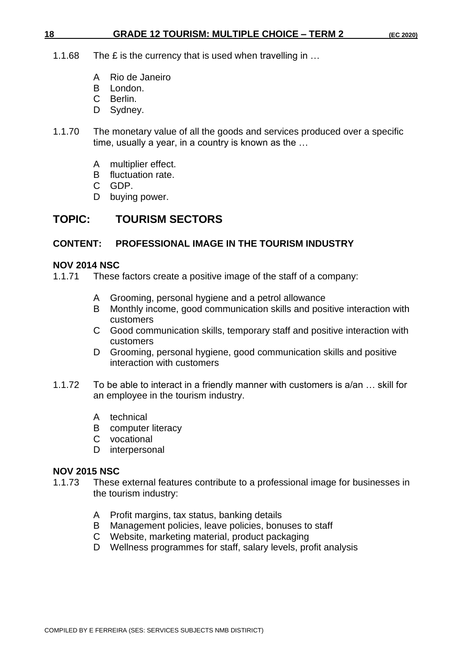#### **18 GRADE 12 TOURISM: MULTIPLE CHOICE – TERM 2 (EC 2020)**

- 1.1.68 The £ is the currency that is used when travelling in ...
	- A Rio de Janeiro
	- B London.
	- C Berlin.
	- D Sydney.
- 1.1.70 The monetary value of all the goods and services produced over a specific time, usually a year, in a country is known as the …
	- A multiplier effect.
	- B fluctuation rate.
	- C GDP.
	- D buying power.

# **TOPIC: TOURISM SECTORS**

#### **CONTENT: PROFESSIONAL IMAGE IN THE TOURISM INDUSTRY**

#### **NOV 2014 NSC**

- 1.1.71 These factors create a positive image of the staff of a company:
	- A Grooming, personal hygiene and a petrol allowance
	- B Monthly income, good communication skills and positive interaction with customers
	- C Good communication skills, temporary staff and positive interaction with customers
	- D Grooming, personal hygiene, good communication skills and positive interaction with customers
- 1.1.72 To be able to interact in a friendly manner with customers is a/an … skill for an employee in the tourism industry.
	- A technical
	- B computer literacy
	- C vocational
	- D interpersonal

#### **NOV 2015 NSC**

- 1.1.73 These external features contribute to a professional image for businesses in the tourism industry:
	- A Profit margins, tax status, banking details
	- B Management policies, leave policies, bonuses to staff
	- C Website, marketing material, product packaging
	- D Wellness programmes for staff, salary levels, profit analysis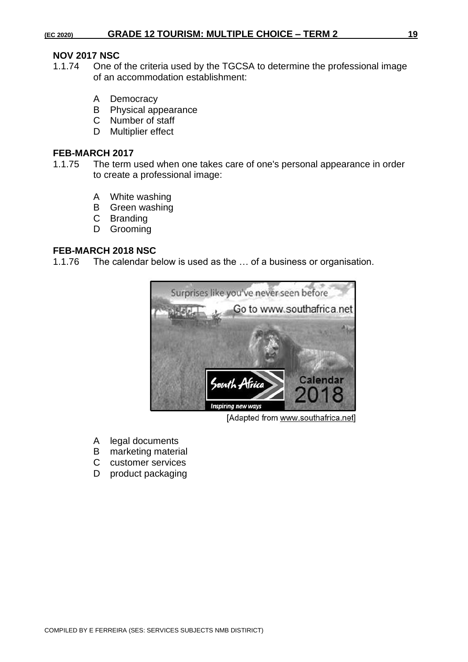# **NOV 2017 NSC**

- One of the criteria used by the TGCSA to determine the professional image of an accommodation establishment:
	- A Democracy
	- B Physical appearance
	- C Number of staff
	- D Multiplier effect

#### **FEB-MARCH 2017**

- 1.1.75 The term used when one takes care of one's personal appearance in order to create a professional image:
	- A White washing
	- B Green washing
	- C Branding
	- D Grooming

#### **FEB-MARCH 2018 NSC**

1.1.76 The calendar below is used as the … of a business or organisation.



[Adapted from www.southafrica.net]

- A legal documents
- B marketing material
- C customer services
- D product packaging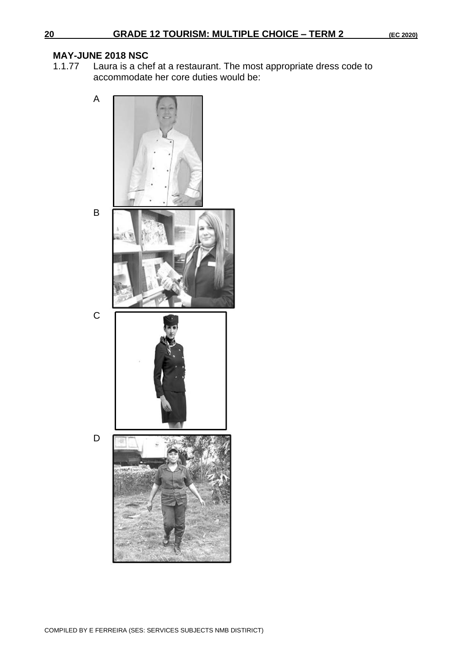# **MAY-JUNE 2018 NSC**

Laura is a chef at a restaurant. The most appropriate dress code to accommodate her core duties would be:

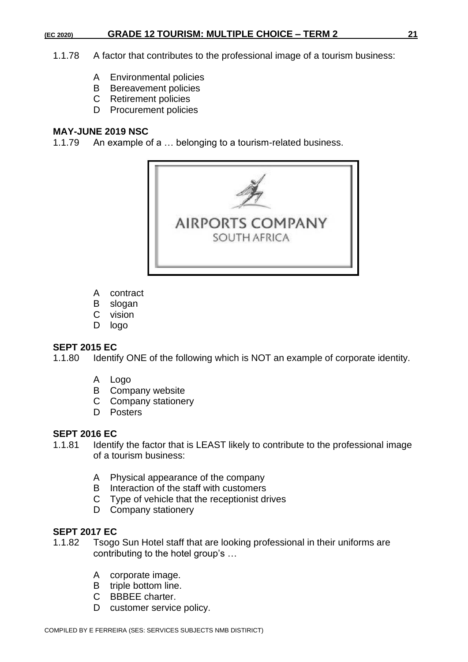- 1.1.78 A factor that contributes to the professional image of a tourism business:
	- A Environmental policies
	- B Bereavement policies
	- C Retirement policies
	- D Procurement policies

#### **MAY-JUNE 2019 NSC**

1.1.79 An example of a … belonging to a tourism-related business.



- A contract
- B slogan
- C vision
- D logo

#### **SEPT 2015 EC**

1.1.80 Identify ONE of the following which is NOT an example of corporate identity.

- A Logo
- B Company website
- C Company stationery
- D Posters

#### **SEPT 2016 EC**

- 1.1.81 Identify the factor that is LEAST likely to contribute to the professional image of a tourism business:
	- A Physical appearance of the company
	- B Interaction of the staff with customers
	- C Type of vehicle that the receptionist drives
	- D Company stationery

### **SEPT 2017 EC**

- 1.1.82 Tsogo Sun Hotel staff that are looking professional in their uniforms are contributing to the hotel group's …
	- A corporate image.
	- B triple bottom line.
	- C BBBEE charter.
	- D customer service policy.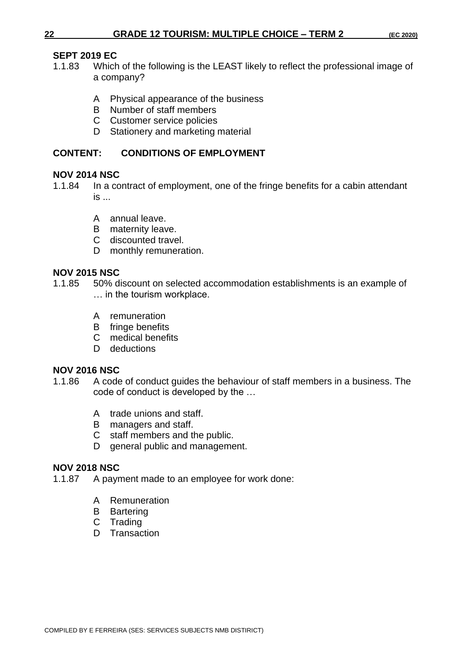# **SEPT 2019 EC**

- 1.1.83 Which of the following is the LEAST likely to reflect the professional image of a company?
	- A Physical appearance of the business
	- B Number of staff members
	- C Customer service policies
	- D Stationery and marketing material

# **CONTENT: CONDITIONS OF EMPLOYMENT**

# **NOV 2014 NSC**

- 1.1.84 In a contract of employment, one of the fringe benefits for a cabin attendant is ...
	- A annual leave.
	- B maternity leave.
	- C discounted travel.
	- D monthly remuneration.

# **NOV 2015 NSC**

- 1.1.85 50% discount on selected accommodation establishments is an example of … in the tourism workplace.
	- A remuneration
	- B fringe benefits
	- C medical benefits
	- D deductions

# **NOV 2016 NSC**

- 1.1.86 A code of conduct guides the behaviour of staff members in a business. The code of conduct is developed by the …
	- A trade unions and staff.
	- B managers and staff.
	- C staff members and the public.
	- D general public and management.

# **NOV 2018 NSC**

- 1.1.87 A payment made to an employee for work done:
	- A Remuneration
	- B Bartering
	- C Trading
	- D Transaction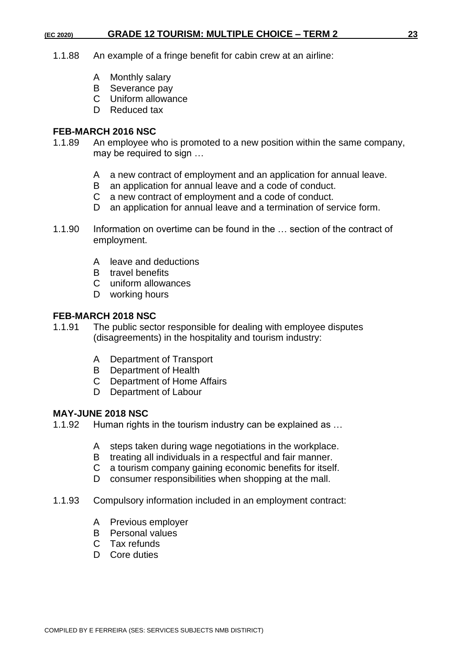- 1.1.88 An example of a fringe benefit for cabin crew at an airline:
	- A Monthly salary
	- B Severance pay
	- C Uniform allowance
	- D Reduced tax

#### **FEB-MARCH 2016 NSC**

- 1.1.89 An employee who is promoted to a new position within the same company, may be required to sign …
	- A a new contract of employment and an application for annual leave.
	- B an application for annual leave and a code of conduct.
	- C a new contract of employment and a code of conduct.
	- D an application for annual leave and a termination of service form.
- 1.1.90 Information on overtime can be found in the … section of the contract of employment.
	- A leave and deductions
	- B travel benefits
	- C uniform allowances
	- D working hours

#### **FEB-MARCH 2018 NSC**

- 1.1.91 The public sector responsible for dealing with employee disputes (disagreements) in the hospitality and tourism industry:
	- A Department of Transport
	- B Department of Health
	- C Department of Home Affairs
	- D Department of Labour

#### **MAY-JUNE 2018 NSC**

1.1.92 Human rights in the tourism industry can be explained as …

- A steps taken during wage negotiations in the workplace.
- B treating all individuals in a respectful and fair manner.
- C a tourism company gaining economic benefits for itself.
- D consumer responsibilities when shopping at the mall.
- 1.1.93 Compulsory information included in an employment contract:
	- A Previous employer
	- B Personal values
	- C Tax refunds
	- D Core duties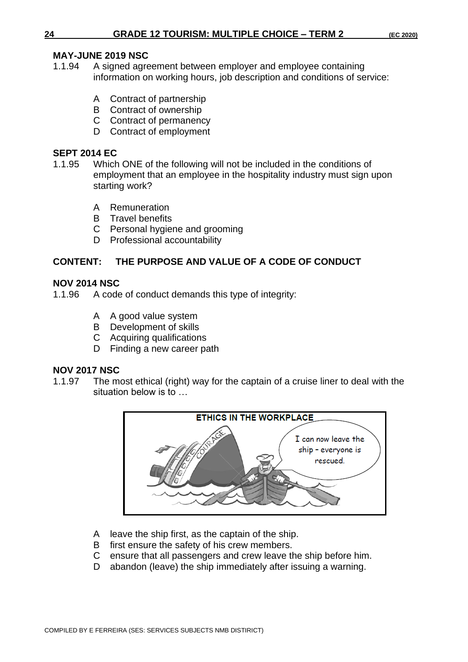### **MAY-JUNE 2019 NSC**

- 1.1.94 A signed agreement between employer and employee containing information on working hours, job description and conditions of service:
	- A Contract of partnership
	- B Contract of ownership
	- C Contract of permanency
	- D Contract of employment

## **SEPT 2014 EC**

- 1.1.95 Which ONE of the following will not be included in the conditions of employment that an employee in the hospitality industry must sign upon starting work?
	- A Remuneration
	- B Travel benefits
	- C Personal hygiene and grooming
	- D Professional accountability

# **CONTENT: THE PURPOSE AND VALUE OF A CODE OF CONDUCT**

### **NOV 2014 NSC**

- 1.1.96 A code of conduct demands this type of integrity:
	- A A good value system
	- B Development of skills
	- C Acquiring qualifications
	- D Finding a new career path

# **NOV 2017 NSC**

1.1.97 The most ethical (right) way for the captain of a cruise liner to deal with the situation below is to …



- A leave the ship first, as the captain of the ship.
- B first ensure the safety of his crew members.
- C ensure that all passengers and crew leave the ship before him.
- D abandon (leave) the ship immediately after issuing a warning.